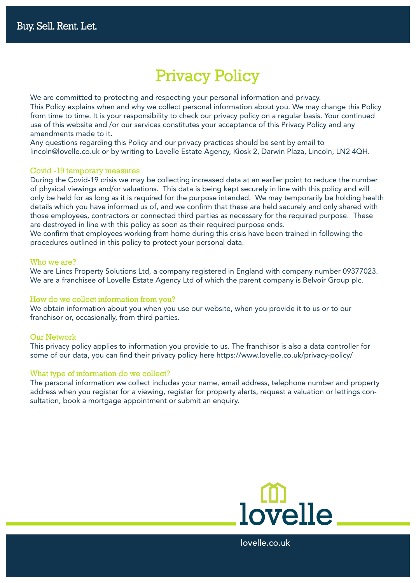# Privacy Policy

We are committed to protecting and respecting your personal information and privacy. This Policy explains when and why we collect personal information about you. We may change this Policy from time to time. It is your responsibility to check our privacy policy on a regular basis. Your continued use of this website and /or our services constitutes your acceptance of this Privacy Policy and any amendments made to it.

Any questions regarding this Policy and our privacy practices should be sent by email to lincoln@lovelle.co.uk or by writing to Lovelle Estate Agency, Kiosk 2, Darwin Plaza, Lincoln, LN2 4QH.

## Covid -19 temporary measures

During the Covid-19 crisis we may be collecting increased data at an earlier point to reduce the number of physical viewings and/or valuations. This data is being kept securely in line with this policy and will only be held for as long as it is required for the purpose intended. We may temporarily be holding health details which you have informed us of, and we confirm that these are held securely and only shared with those employees, contractors or connected third parties as necessary for the required purpose. These are destroyed in line with this policy as soon as their required purpose ends.

We confirm that employees working from home during this crisis have been trained in following the procedures outlined in this policy to protect your personal data.

#### Who we are?

We are Lincs Property Solutions Ltd, a company registered in England with company number 09377023. We are a franchisee of Lovelle Estate Agency Ltd of which the parent company is Belvoir Group plc.

#### How do we collect information from you?

We obtain information about you when you use our website, when you provide it to us or to our franchisor or, occasionally, from third parties.

#### Our Network

This privacy policy applies to information you provide to us. The franchisor is also a data controller for some of our data, you can find their privacy policy here https://www.lovelle.co.uk/privacy-policy/

### What type of information do we collect?

The personal information we collect includes your name, email address, telephone number and property address when you register for a viewing, register for property alerts, request a valuation or lettings consultation, book a mortgage appointment or submit an enquiry.

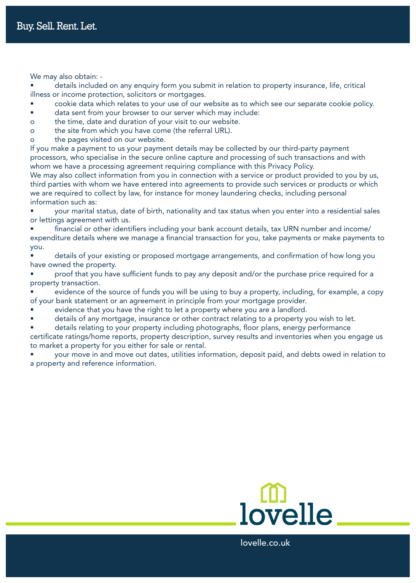We may also obtain: -

• details included on any enquiry form you submit in relation to property insurance, life, critical illness or income protection, solicitors or mortgages.

- cookie data which relates to your use of our website as to which see our separate cookie policy.
- data sent from your browser to our server which may include:
- o the time, date and duration of your visit to our website.
- o the site from which you have come (the referral URL).
- o the pages visited on our website.

If you make a payment to us your payment details may be collected by our third-party payment processors, who specialise in the secure online capture and processing of such transactions and with whom we have a processing agreement requiring compliance with this Privacy Policy.

We may also collect information from you in connection with a service or product provided to you by us, third parties with whom we have entered into agreements to provide such services or products or which we are required to collect by law, for instance for money laundering checks, including personal information such as:

• your marital status, date of birth, nationality and tax status when you enter into a residential sales or lettings agreement with us.

financial or other identifiers including your bank account details, tax URN number and income/ expenditure details where we manage a financial transaction for you, take payments or make payments to you.

• details of your existing or proposed mortgage arrangements, and confirmation of how long you have owned the property.

• proof that you have sufficient funds to pay any deposit and/or the purchase price required for a property transaction.

evidence of the source of funds you will be using to buy a property, including, for example, a copy of your bank statement or an agreement in principle from your mortgage provider.

- evidence that you have the right to let a property where you are a landlord.
- details of any mortgage, insurance or other contract relating to a property you wish to let.
- details relating to your property including photographs, floor plans, energy performance

certificate ratings/home reports, property description, survey results and inventories when you engage us to market a property for you either for sale or rental.

• your move in and move out dates, utilities information, deposit paid, and debts owed in relation to a property and reference information.

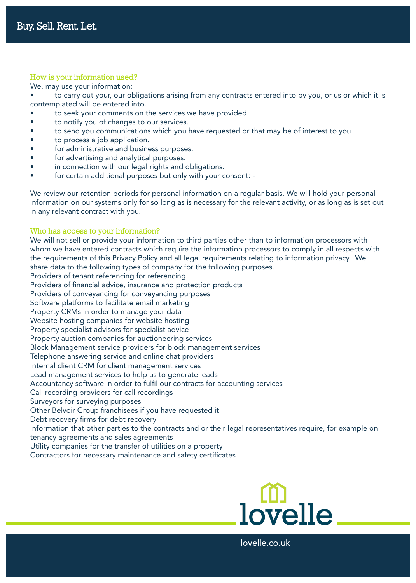## How is your information used?

We, may use your information:

• to carry out your, our obligations arising from any contracts entered into by you, or us or which it is contemplated will be entered into.

- to seek your comments on the services we have provided.
- to notify you of changes to our services.
- to send you communications which you have requested or that may be of interest to you.
- to process a job application.
- for administrative and business purposes.
- for advertising and analytical purposes.
- in connection with our legal rights and obligations.
- for certain additional purposes but only with your consent: -

We review our retention periods for personal information on a regular basis. We will hold your personal information on our systems only for so long as is necessary for the relevant activity, or as long as is set out in any relevant contract with you.

# Who has access to your information?

We will not sell or provide your information to third parties other than to information processors with whom we have entered contracts which require the information processors to comply in all respects with the requirements of this Privacy Policy and all legal requirements relating to information privacy. We share data to the following types of company for the following purposes. Providers of tenant referencing for referencing Providers of financial advice, insurance and protection products Providers of conveyancing for conveyancing purposes Software platforms to facilitate email marketing Property CRMs in order to manage your data Website hosting companies for website hosting Property specialist advisors for specialist advice Property auction companies for auctioneering services Block Management service providers for block management services Telephone answering service and online chat providers Internal client CRM for client management services Lead management services to help us to generate leads Accountancy software in order to fulfil our contracts for accounting services Call recording providers for call recordings Surveyors for surveying purposes Other Belvoir Group franchisees if you have requested it Debt recovery firms for debt recovery Information that other parties to the contracts and or their legal representatives require, for example on tenancy agreements and sales agreements Utility companies for the transfer of utilities on a property

Contractors for necessary maintenance and safety certificates

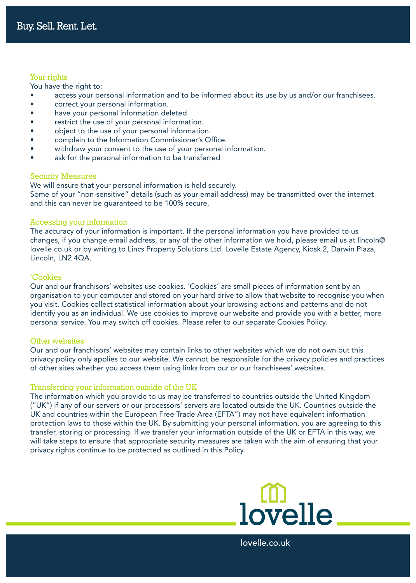# Your rights

You have the right to:

- access your personal information and to be informed about its use by us and/or our franchisees.
- correct your personal information.
- have your personal information deleted.
- restrict the use of your personal information.
- object to the use of your personal information.
- complain to the Information Commissioner's Office.
- withdraw your consent to the use of your personal information.
- ask for the personal information to be transferred

# Security Measures

We will ensure that your personal information is held securely.

Some of your "non-sensitive" details (such as your email address) may be transmitted over the internet and this can never be guaranteed to be 100% secure.

# Accessing your information

The accuracy of your information is important. If the personal information you have provided to us changes, if you change email address, or any of the other information we hold, please email us at lincoln@ lovelle.co.uk or by writing to Lincs Property Solutions Ltd. Lovelle Estate Agency, Kiosk 2, Darwin Plaza, Lincoln, LN2 4QA.

# 'Cookies'

Our and our franchisors' websites use cookies. 'Cookies' are small pieces of information sent by an organisation to your computer and stored on your hard drive to allow that website to recognise you when you visit. Cookies collect statistical information about your browsing actions and patterns and do not identify you as an individual. We use cookies to improve our website and provide you with a better, more personal service. You may switch off cookies. Please refer to our separate Cookies Policy.

## Other websites

Our and our franchisors' websites may contain links to other websites which we do not own but this privacy policy only applies to our website. We cannot be responsible for the privacy policies and practices of other sites whether you access them using links from our or our franchisees' websites.

## Transferring your information outside of the UK

The information which you provide to us may be transferred to countries outside the United Kingdom ("UK") if any of our servers or our processors' servers are located outside the UK. Countries outside the UK and countries within the European Free Trade Area (EFTA") may not have equivalent information protection laws to those within the UK. By submitting your personal information, you are agreeing to this transfer, storing or processing. If we transfer your information outside of the UK or EFTA in this way, we will take steps to ensure that appropriate security measures are taken with the aim of ensuring that your privacy rights continue to be protected as outlined in this Policy.